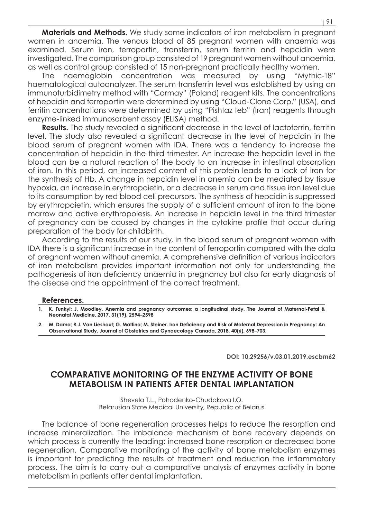**Materials and Methods.** We study some indicators of iron metabolism in pregnant women in anaemia. The venous blood of 85 pregnant women with anaemia was examined. Serum iron, ferroportin, transferrin, serum ferritin and hepcidin were investigated. The comparison group consisted of 19 pregnant women without anaemia, as well as control group consisted of 15 non-pregnant practically healthy women.

The haemoglobin concentration was measured by using "Mythic-18" haematological autoanalyzer. The serum transferrin level was established by using an immunoturbidimetry method with "Cormay" (Poland) reagent kits. The concentrations of hepcidin and ferroportin were determined by using "Cloud-Clone Corp." (USA), and ferritin concentrations were determined by using "Pishtaz teb" (Iran) reagents through enzyme-linked immunosorbent assay (ELISA) method.

**Results.** The study revealed a significant decrease in the level of lactoferrin, ferritin level. The study also revealed a significant decrease in the level of hepcidin in the blood serum of pregnant women with IDA. There was a tendency to increase the concentration of hepcidin in the third trimester. An increase the hepcidin level in the blood can be a natural reaction of the body to an increase in intestinal absorption of iron. In this period, an increased content of this protein leads to a lack of iron for the synthesis of Hb. A change in hepcidin level in anemia can be mediated by tissue hypoxia, an increase in erythropoietin, or a decrease in serum and tissue iron level due to its consumption by red blood cell precursors. The synthesis of hepcidin is suppressed by erythropoietin, which ensures the supply of a sufficient amount of iron to the bone marrow and active erythropoiesis. An increase in hepcidin level in the third trimester of pregnancy can be caused by changes in the cytokine profile that occur during preparation of the body for childbirth.

According to the results of our study, in the blood serum of pregnant women with IDA there is a significant increase in the content of ferroportin compared with the data of pregnant women without anemia. A comprehensive definition of various indicators of iron metabolism provides important information not only for understanding the pathogenesis of iron deficiency anaemia in pregnancy but also for early diagnosis of the disease and the appointment of the correct treatment.

## **References.**

- **1. K. Tunkyi; J. Moodley. Anemia and pregnancy outcomes: a longitudinal study. The Journal of Maternal-Fetal & Neonatal Medicine, 2017, 31(19), 2594–2598**
- **2. M. Dama; R.J. Van Lieshout; G. Mattina; M. Steiner. Iron Deficiency and Risk of Maternal Depression in Pregnancy: An Observational Study. Journal of Obstetrics and Gynaecology Canada, 2018, 40(6), 698–703.**

**DOI: 10.29256/v.03.01.2019.escbm62**

## **COMPARATIVE MONITORING OF THE ENZYME ACTIVITY OF BONE METABOLISM IN PATIENTS AFTER DENTAL IMPLANTATION**

Shevela T.L., Pohodenko-Chudakova I.O. Belarusian State Medical University, Republic of Belarus

The balance of bone regeneration processes helps to reduce the resorption and increase mineralization. The imbalance mechanism of bone recovery depends on which process is currently the leading: increased bone resorption or decreased bone regeneration. Comparative monitoring of the activity of bone metabolism enzymes is important for predicting the results of treatment and reduction the inflammatory process. The aim is to carry out a comparative analysis of enzymes activity in bone metabolism in patients after dental implantation.